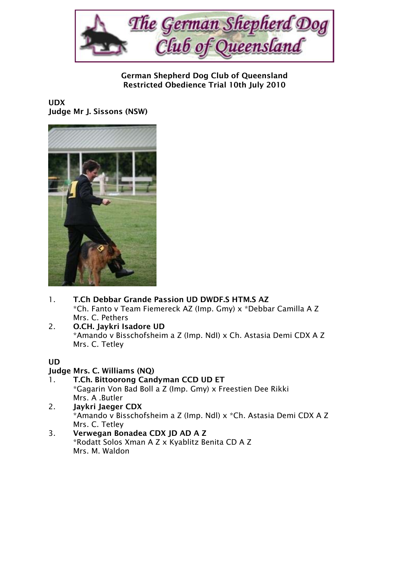

German Shepherd Dog Club of Queensland Restricted Obedience Trial 10th July 2010

#### UDX Judge Mr J. Sissons (NSW)



- 1. T.Ch Debbar Grande Passion UD DWDF.S HTM.S AZ \*Ch. Fanto v Team Fiemereck AZ (Imp. Gmy) x \*Debbar Camilla A Z Mrs. C. Pethers
- 2. O.CH. Jaykri Isadore UD \*Amando v Bisschofsheim a Z (Imp. NdI) x Ch. Astasia Demi CDX A Z Mrs. C. Tetley

## UD

### Judge Mrs. C. Williams (NQ)

- 1. T.Ch. Bittoorong Candyman CCD UD ET \*Gagarin Von Bad Boll a Z (Imp. Gmy) x Freestien Dee Rikki Mrs. A .Butler
- 2. Jaykri Jaeger CDX \*Amando v Bisschofsheim a Z (Imp. Ndl) x \*Ch. Astasia Demi CDX A Z Mrs. C. Tetley
- 3. Verwegan Bonadea CDX JD AD A Z \*Rodatt Solos Xman A Z x Kyablitz Benita CD A Z Mrs. M. Waldon